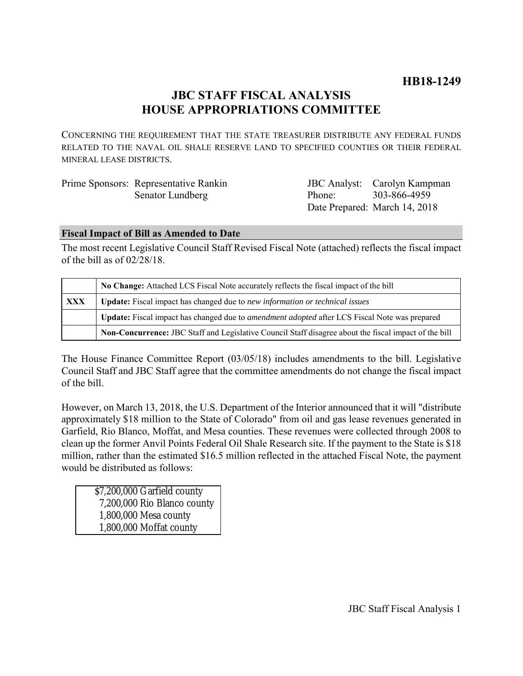# **JBC STAFF FISCAL ANALYSIS HOUSE APPROPRIATIONS COMMITTEE**

CONCERNING THE REQUIREMENT THAT THE STATE TREASURER DISTRIBUTE ANY FEDERAL FUNDS RELATED TO THE NAVAL OIL SHALE RESERVE LAND TO SPECIFIED COUNTIES OR THEIR FEDERAL MINERAL LEASE DISTRICTS.

| Prime Sponsors: Representative Rankin |                     | <b>JBC</b> Analyst: Carolyn Kampman |
|---------------------------------------|---------------------|-------------------------------------|
| Senator Lundberg                      | Phone: 303-866-4959 |                                     |
|                                       |                     | Date Prepared: March 14, 2018       |

# **Fiscal Impact of Bill as Amended to Date**

The most recent Legislative Council Staff Revised Fiscal Note (attached) reflects the fiscal impact of the bill as of 02/28/18.

|     | No Change: Attached LCS Fiscal Note accurately reflects the fiscal impact of the bill                       |  |
|-----|-------------------------------------------------------------------------------------------------------------|--|
| XXX | <b>Update:</b> Fiscal impact has changed due to new information or technical issues                         |  |
|     | <b>Update:</b> Fiscal impact has changed due to <i>amendment adopted</i> after LCS Fiscal Note was prepared |  |
|     | Non-Concurrence: JBC Staff and Legislative Council Staff disagree about the fiscal impact of the bill       |  |

The House Finance Committee Report (03/05/18) includes amendments to the bill. Legislative Council Staff and JBC Staff agree that the committee amendments do not change the fiscal impact of the bill.

However, on March 13, 2018, the U.S. Department of the Interior announced that it will "distribute approximately \$18 million to the State of Colorado" from oil and gas lease revenues generated in Garfield, Rio Blanco, Moffat, and Mesa counties. These revenues were collected through 2008 to clean up the former Anvil Points Federal Oil Shale Research site. If the payment to the State is \$18 million, rather than the estimated \$16.5 million reflected in the attached Fiscal Note, the payment would be distributed as follows:

\$7,200,000 Garfield county 7,200,000 Rio Blanco county 1,800,000 Mesa county 1,800,000 Moffat county